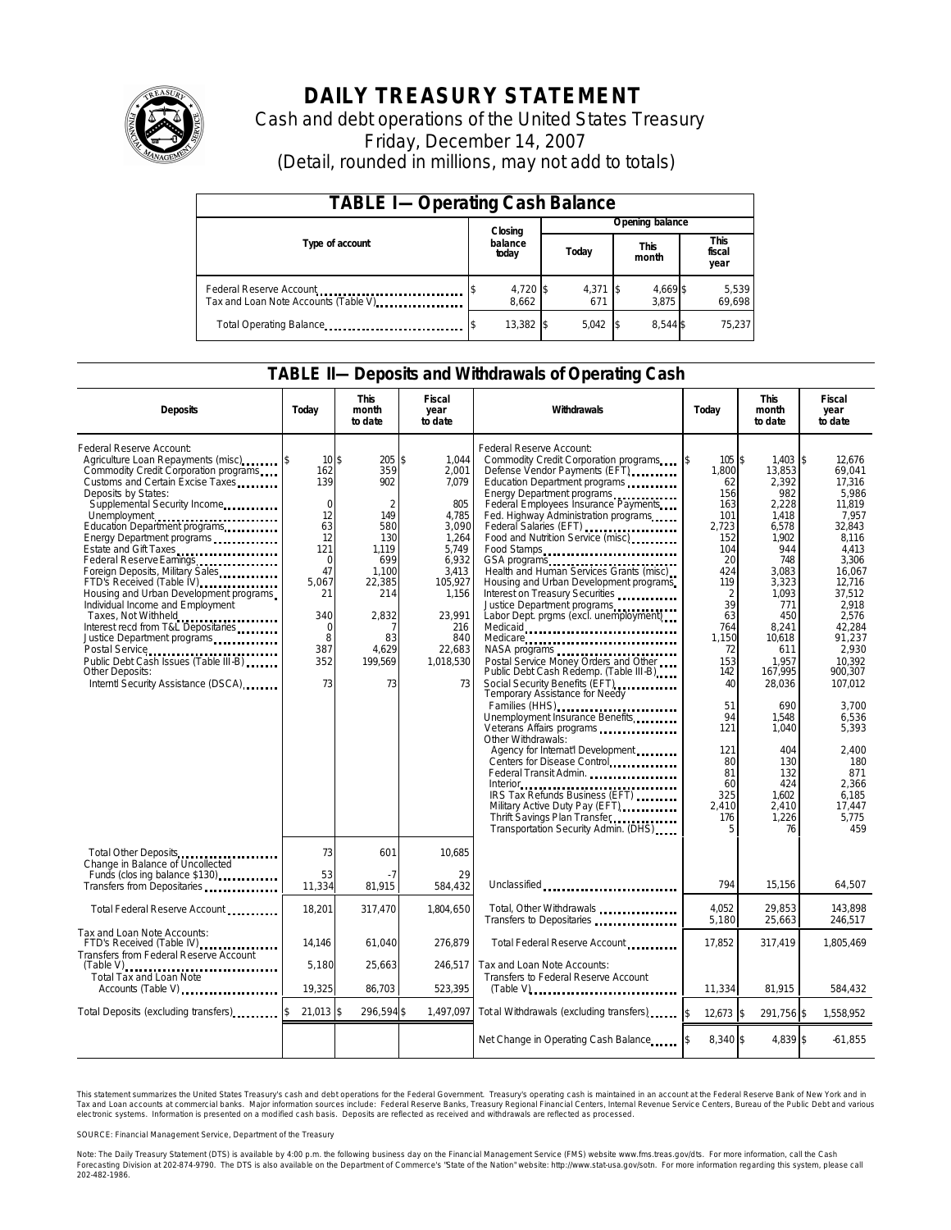

# **DAILY TREASURY STATEMENT**

Cash and debt operations of the United States Treasury Friday, December 14, 2007 (Detail, rounded in millions, may not add to totals)

| <b>TABLE I-Operating Cash Balance</b>                            |                   |                   |                      |                        |  |  |  |  |
|------------------------------------------------------------------|-------------------|-------------------|----------------------|------------------------|--|--|--|--|
|                                                                  | Closing           | Opening balance   |                      |                        |  |  |  |  |
| Type of account                                                  | balance<br>today  | Today             | <b>This</b><br>month | This<br>fiscal<br>year |  |  |  |  |
| Federal Reserve Account<br>Tax and Loan Note Accounts (Table V). | 4,720 \$<br>8.662 | $4,371$ \$<br>671 | 4,669 \$<br>3.875    | 5,539<br>69,698        |  |  |  |  |
| Total Operating Balance                                          | 13,382 \$         | 5.042             | 8.544 \$             | 75.237                 |  |  |  |  |

### **TABLE II—Deposits and Withdrawals of Operating Cash**

| <b>Deposits</b>                                                                                                                                                                                                                                                                                                                                                                                                                                                                                                                                                                                                                                                  | Today                                                                                                                                            | <b>This</b><br>month<br>to date                                                                                                                       | Fiscal<br>year<br>to date                                                                                                                                     | Withdrawals                                                                                                                                                                                                                                                                                                                                                                                                                                                                                                                                                                                                                                                                                                                                                                                                                                                                                                                                                                                                                                                                           | Todav                                                                                                                                                                                                                                                | <b>This</b><br>month<br>to date                                                                                                                                                                                                                                          |                                                                                                                                                                                                                                                                                                              |
|------------------------------------------------------------------------------------------------------------------------------------------------------------------------------------------------------------------------------------------------------------------------------------------------------------------------------------------------------------------------------------------------------------------------------------------------------------------------------------------------------------------------------------------------------------------------------------------------------------------------------------------------------------------|--------------------------------------------------------------------------------------------------------------------------------------------------|-------------------------------------------------------------------------------------------------------------------------------------------------------|---------------------------------------------------------------------------------------------------------------------------------------------------------------|---------------------------------------------------------------------------------------------------------------------------------------------------------------------------------------------------------------------------------------------------------------------------------------------------------------------------------------------------------------------------------------------------------------------------------------------------------------------------------------------------------------------------------------------------------------------------------------------------------------------------------------------------------------------------------------------------------------------------------------------------------------------------------------------------------------------------------------------------------------------------------------------------------------------------------------------------------------------------------------------------------------------------------------------------------------------------------------|------------------------------------------------------------------------------------------------------------------------------------------------------------------------------------------------------------------------------------------------------|--------------------------------------------------------------------------------------------------------------------------------------------------------------------------------------------------------------------------------------------------------------------------|--------------------------------------------------------------------------------------------------------------------------------------------------------------------------------------------------------------------------------------------------------------------------------------------------------------|
| Federal Reserve Account:<br>Agriculture Loan Repayments (misc)<br>Commodity Credit Corporation programs<br>Customs and Certain Excise Taxes<br>Deposits by States:<br>Supplemental Security Income<br>Unemployment<br>Education Department programs<br>Energy Department programs<br>Estate and Gift Taxes<br>Foreign Deposits, Military Sales<br>FTD's Received (Table IV)<br>Housing and Urban Development programs<br>Individual Income and Employment<br>Taxes, Not Withheld<br>Interest recd from T&L Depositaries<br>Justice Department programs<br>Public Debt Cash Issues (Table III-B)<br><b>Other Deposits:</b><br>Interntl Security Assistance (DSCA) | $10\text{ s}$<br>162<br>139<br>$\Omega$<br>12<br>63<br>12<br>121<br>$\Omega$<br>47<br>5.067<br>21<br>340<br>$\mathbf 0$<br>8<br>387<br>352<br>73 | $205$ \$<br>359<br>902<br>$\overline{2}$<br>149<br>580<br>130<br>1.119<br>699<br>1.100<br>22,385<br>214<br>2,832<br>7<br>83<br>4,629<br>199,569<br>73 | 1.044<br>2,001<br>7.079<br>805<br>4,785<br>3.090<br>1,264<br>5,749<br>6,932<br>3,413<br>105,927<br>1,156<br>23,991<br>216<br>840<br>22,683<br>1,018,530<br>73 | Federal Reserve Account:<br>Commodity Credit Corporation programs<br>Defense Vendor Payments (EFT)<br>Education Department programs<br>Energy Department programs<br>Federal Employees Insurance Payments<br>Fed. Highway Administration programs<br>Federal Salaries (EFT)<br>Food and Nutrition Service (misc)<br>Food Stamps<br>GSA programs<br>Health and Human Services Grants (misc)<br>Housing and Urban Development programs<br>Interest on Treasury Securities<br>Justice Department programs<br>Labor Dept. prgms (excl. unemployment)<br>Medicaid<br>Medicare<br>Postal Service Money Orders and Other<br>Public Debt Cash Redemp. (Table III-B)<br>Social Security Benefits (EFT)<br><br>Temporary Assistance for Needy<br>Families (HHS)<br>Unemployment Insurance Benefits<br>Veterans Affairs programs<br>Other Withdrawals:<br>Agency for Internat'l Development<br>Centers for Disease Control<br>Federal Transit Admin.<br>IRS Tax Refunds Business (EFT)<br>Military Active Duty Pay (EFT)<br>Thrift Savings Plan Transfer<br>Transportation Security Admin. (DHS) | 105S<br><sup>\$</sup><br>1,800<br>62<br>156<br>163<br>101<br>2.723<br>152<br>104<br>20<br>424<br>119<br>$\overline{2}$<br>39<br>63<br>764<br>1.150<br>72<br>153<br>142<br>40<br>51<br>94<br>121<br>121<br>80<br>81<br>60<br>325<br>2,410<br>176<br>5 | 1.403<br>13,853<br>2,392<br>982<br>2,228<br>1.418<br>6.578<br>1,902<br>944<br>748<br>3,083<br>3,323<br>1,093<br>771<br>450<br>8,241<br>10,618<br>611<br>1.957<br>167,995<br>28,036<br>690<br>1,548<br>1.040<br>404<br>130<br>132<br>424<br>1,602<br>2,410<br>1,226<br>76 | \$<br>12.676<br>69.041<br>17.316<br>5.986<br>11.819<br>7.957<br>32.843<br>8,116<br>4.413<br>3,306<br>16.067<br>12.716<br>37.512<br>2.918<br>2,576<br>42,284<br>91,237<br>2.930<br>10.392<br>900.307<br>107,012<br>3,700<br>6,536<br>5,393<br>2,400<br>180<br>871<br>2,366<br>6.185<br>17,447<br>5.775<br>459 |
| Total Other Deposits<br>Change in Balance of Uncollected<br>Funds (closing balance \$130)                                                                                                                                                                                                                                                                                                                                                                                                                                                                                                                                                                        | 73<br>53                                                                                                                                         | 601<br>- 7                                                                                                                                            | 10,685<br>29                                                                                                                                                  |                                                                                                                                                                                                                                                                                                                                                                                                                                                                                                                                                                                                                                                                                                                                                                                                                                                                                                                                                                                                                                                                                       |                                                                                                                                                                                                                                                      |                                                                                                                                                                                                                                                                          |                                                                                                                                                                                                                                                                                                              |
| Transfers from Depositaries                                                                                                                                                                                                                                                                                                                                                                                                                                                                                                                                                                                                                                      | 11,334                                                                                                                                           | 81,915                                                                                                                                                | 584.432                                                                                                                                                       | Unclassified                                                                                                                                                                                                                                                                                                                                                                                                                                                                                                                                                                                                                                                                                                                                                                                                                                                                                                                                                                                                                                                                          | 794                                                                                                                                                                                                                                                  | 15.156                                                                                                                                                                                                                                                                   | 64,507                                                                                                                                                                                                                                                                                                       |
| Total Federal Reserve Account                                                                                                                                                                                                                                                                                                                                                                                                                                                                                                                                                                                                                                    | 18,201                                                                                                                                           | 317.470                                                                                                                                               | 1.804.650                                                                                                                                                     | Total, Other Withdrawals<br>Transfers to Depositaries                                                                                                                                                                                                                                                                                                                                                                                                                                                                                                                                                                                                                                                                                                                                                                                                                                                                                                                                                                                                                                 | 4.052<br>5,180                                                                                                                                                                                                                                       | 29.853<br>25,663                                                                                                                                                                                                                                                         | 143.898<br>246,517                                                                                                                                                                                                                                                                                           |
| Tax and Loan Note Accounts:<br>FTD's Received (Table IV)<br>Transfers from Federal Reserve Account                                                                                                                                                                                                                                                                                                                                                                                                                                                                                                                                                               | 14,146                                                                                                                                           | 61,040                                                                                                                                                | 276,879                                                                                                                                                       | Total Federal Reserve Account                                                                                                                                                                                                                                                                                                                                                                                                                                                                                                                                                                                                                                                                                                                                                                                                                                                                                                                                                                                                                                                         | 17,852                                                                                                                                                                                                                                               | 317,419                                                                                                                                                                                                                                                                  | 1,805,469                                                                                                                                                                                                                                                                                                    |
| $(Table V)$<br>Total Tax and Loan Note<br>Accounts (Table V)                                                                                                                                                                                                                                                                                                                                                                                                                                                                                                                                                                                                     | 5,180<br>19,325                                                                                                                                  | 25,663<br>86,703                                                                                                                                      | 246.517<br>523,395                                                                                                                                            | Tax and Loan Note Accounts:<br>Transfers to Federal Reserve Account<br>$(Table V)$                                                                                                                                                                                                                                                                                                                                                                                                                                                                                                                                                                                                                                                                                                                                                                                                                                                                                                                                                                                                    | 11,334                                                                                                                                                                                                                                               | 81,915                                                                                                                                                                                                                                                                   | 584,432                                                                                                                                                                                                                                                                                                      |
| Total Deposits (excluding transfers)                                                                                                                                                                                                                                                                                                                                                                                                                                                                                                                                                                                                                             | 21.013 \$                                                                                                                                        | 296,594\$                                                                                                                                             | 1.497.097                                                                                                                                                     | Tot al Withdrawals (excluding transfers) [100]                                                                                                                                                                                                                                                                                                                                                                                                                                                                                                                                                                                                                                                                                                                                                                                                                                                                                                                                                                                                                                        | l\$<br>$12,673$ \$                                                                                                                                                                                                                                   | 291,756 \$                                                                                                                                                                                                                                                               | 1.558.952                                                                                                                                                                                                                                                                                                    |
|                                                                                                                                                                                                                                                                                                                                                                                                                                                                                                                                                                                                                                                                  |                                                                                                                                                  |                                                                                                                                                       |                                                                                                                                                               | Net Change in Operating Cash Balance                                                                                                                                                                                                                                                                                                                                                                                                                                                                                                                                                                                                                                                                                                                                                                                                                                                                                                                                                                                                                                                  | 8,340 \$                                                                                                                                                                                                                                             | 4,839 \$                                                                                                                                                                                                                                                                 | $-61,855$                                                                                                                                                                                                                                                                                                    |

This statement summarizes the United States Treasury's cash and debt operations for the Federal Government. Treasury's operating cash is maintained in an account at the Federal Reserve Bank of New York and in Tax and Loan accounts at commercial banks. Major information sources include: Federal Reserve Banks, Treasury Regional Financial Centers, Internal Revenue Service Centers, Bureau of the Public Debt and various<br>electronic s

SOURCE: Financial Management Service, Department of the Treasury

Note: The Daily Treasury Statement (DTS) is available by 4:00 p.m. the following business day on the Financial Management Service (FMS) website www.fms.treas.gov/dts. For more information, call the Cash<br>Forecasting Divisio 'S) is available by 4:00 p.m. the following business day on the Financial Management Service (FMS) website www.fms.treas.gov/dts. For more information, call the Cash<br>The DTS is also available on the Department of Commerce'